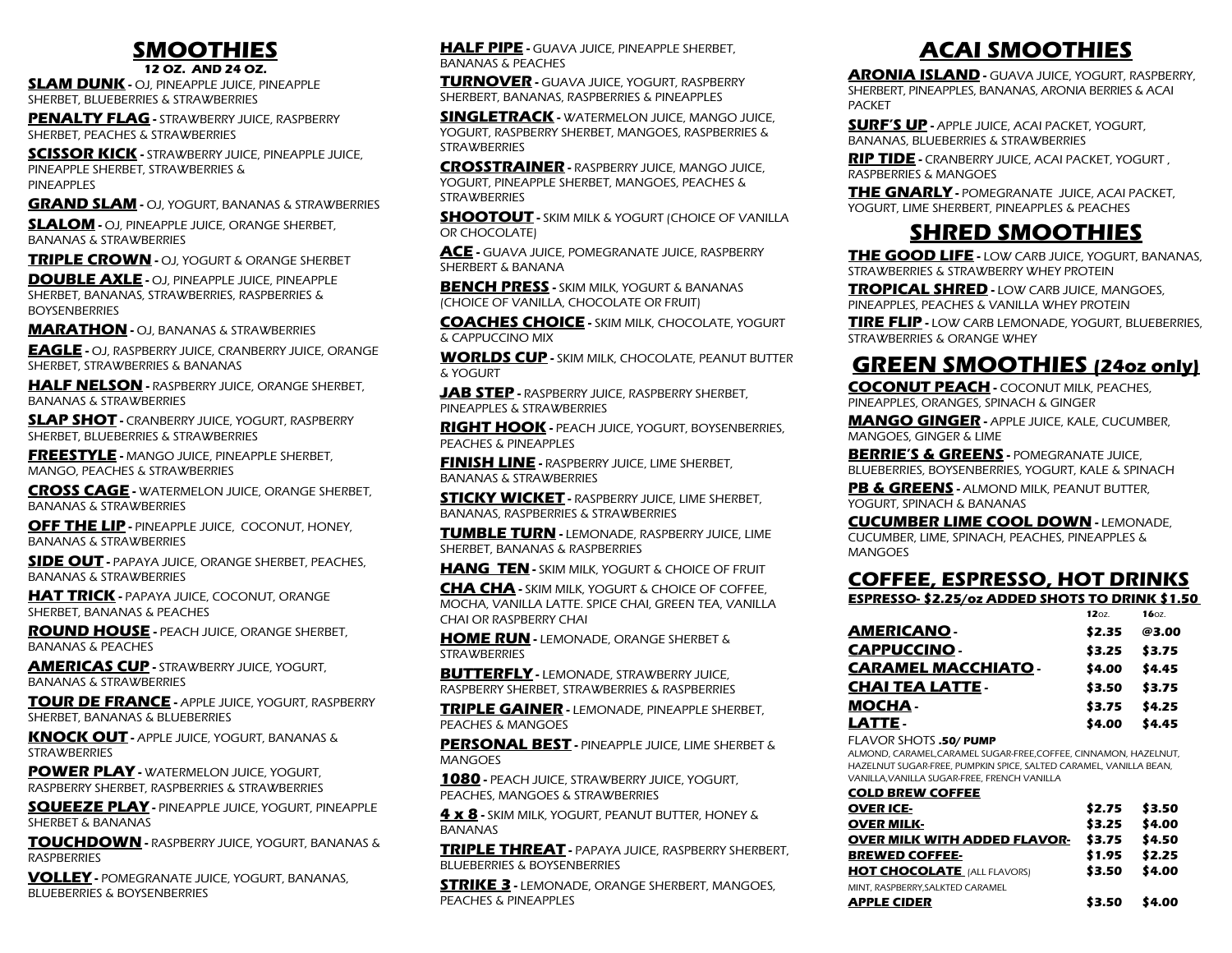## **SMOOTHIES**

**12 OZ. AND 24 OZ.**

**SLAM DUNK -** OJ, PINEAPPLE JUICE, PINEAPPLE SHERBET, BLUEBERRIES & STRAWBERRIES

**PENALTY FLAG -** STRAWBERRY JUICE, RASPBERRY SHERBET, PEACHES & STRAWBERRIES

**SCISSOR KICK -** STRAWBERRY JUICE, PINEAPPLE JUICE, PINEAPPLE SHERBET, STRAWBERRIES & PINEAPPLES

**GRAND SLAM -** OJ, YOGURT, BANANAS & STRAWBERRIES

**SLALOM -** OJ, PINEAPPLE JUICE, ORANGE SHERBET, BANANAS & STRAWBERRIES

**TRIPLE CROWN -** OJ, YOGURT & ORANGE SHERBET

**DOUBLE AXLE -** OJ, PINEAPPLE JUICE, PINEAPPLE SHERBET, BANANAS, STRAWBERRIES, RASPBERRIES & BOYSENBERRIES

**MARATHON -** OJ, BANANAS & STRAWBERRIES

**EAGLE -** OJ, RASPBERRY JUICE, CRANBERRY JUICE, ORANGE SHERBET, STRAWBERRIES & BANANAS

**HALF NELSON -** RASPBERRY JUICE, ORANGE SHERBET, BANANAS & STRAWBERRIES

**SLAP SHOT -** CRANBERRY JUICE, YOGURT, RASPBERRY SHERBET, BLUEBERRIES & STRAWBERRIES

**FREESTYLE -** MANGO JUICE, PINEAPPLE SHERBET, MANGO, PEACHES & STRAWBERRIES

**CROSS CAGE -** WATERMELON JUICE, ORANGE SHERBET, BANANAS & STRAWBERRIES

**OFF THE LIP - PINEAPPLE JUICE, COCONUT, HONEY,** BANANAS & STRAWBERRIES

**SIDE OUT -** PAPAYA JUICE, ORANGE SHERBET, PEACHES, BANANAS & STRAWBERRIES

**HAT TRICK -** PAPAYA JUICE, COCONUT, ORANGE SHERBET, BANANAS & PEACHES

**ROUND HOUSE -** PEACH JUICE, ORANGE SHERBET, BANANAS & PEACHES

**AMERICAS CUP -** STRAWBERRY JUICE, YOGURT, BANANAS & STRAWBERRIES

**TOUR DE FRANCE -** APPLE JUICE, YOGURT, RASPBERRY SHERBET, BANANAS & BLUEBERRIES

**KNOCK OUT -** APPLE JUICE, YOGURT, BANANAS & **STRAWBERRIES** 

**POWER PLAY - WATERMELON JUICE, YOGURT,** RASPBERRY SHERBET, RASPBERRIES & STRAWBERRIES

**SQUEEZE PLAY -** PINEAPPLE JUICE, YOGURT, PINEAPPLE SHERBET & BANANAS

**TOUCHDOWN -** RASPBERRY JUICE, YOGURT, BANANAS & RASPBERRIES

**VOLLEY -** POMEGRANATE JUICE, YOGURT, BANANAS, BLUEBERRIES & BOYSENBERRIES

**HALF PIPE -** GUAVA JUICE, PINEAPPLE SHERBET, BANANAS & PEACHES

**TURNOVER -** GUAVA JUICE, YOGURT, RASPBERRY SHERBERT, BANANAS, RASPBERRIES & PINEAPPLES

**SINGLETRACK -** WATERMELON JUICE, MANGO JUICE, YOGURT, RASPBERRY SHERBET, MANGOES, RASPBERRIES & **STRAWBERRIES** 

**CROSSTRAINER -** RASPBERRY JUICE, MANGO JUICE, YOGURT, PINEAPPLE SHERBET, MANGOES, PEACHES & **STRAWBERRIES** 

**SHOOTOUT -** SKIM MILK & YOGURT (CHOICE OF VANILLA OR CHOCOLATE)

**ACE -** GUAVA JUICE, POMEGRANATE JUICE, RASPBERRY SHERBERT & BANANA

**BENCH PRESS -** SKIM MILK, YOGURT & BANANAS (CHOICE OF VANILLA, CHOCOLATE OR FRUIT)

**COACHES CHOICE -** SKIM MILK, CHOCOLATE, YOGURT & CAPPUCCINO MIX

**WORLDS CUP -** SKIM MILK, CHOCOLATE, PEANUT BUTTER & YOGURT

**JAB STEP -** RASPBERRY JUICE, RASPBERRY SHERBET, PINEAPPLES & STRAWBERRIES

**RIGHT HOOK -** PEACH JUICE, YOGURT, BOYSENBERRIES, PEACHES & PINEAPPLES

**FINISH LINE -** RASPBERRY JUICE, LIME SHERBET, BANANAS & STRAWBERRIES

**STICKY WICKET -** RASPBERRY JUICE, LIME SHERBET, BANANAS, RASPBERRIES & STRAWBERRIES

**TUMBLE TURN -** LEMONADE, RASPBERRY JUICE, LIME SHERBET, BANANAS & RASPBERRIES

**HANG TEN -** SKIM MILK, YOGURT & CHOICE OF FRUIT

**CHA CHA -** SKIM MILK, YOGURT & CHOICE OF COFFEE, MOCHA, VANILLA LATTE. SPICE CHAI, GREEN TEA, VANILLA CHAI OR RASPBERRY CHAI

**HOME RUN -** LEMONADE, ORANGE SHERBET & **STRAWBERRIES** 

**BUTTERFLY - LEMONADE, STRAWBERRY JUICE,** RASPBERRY SHERBET, STRAWBERRIES & RASPBERRIES

**TRIPLE GAINER -** LEMONADE, PINEAPPLE SHERBET, PEACHES & MANGOES

**PERSONAL BEST -** PINEAPPLE JUICE, LIME SHERBET & MANGOES

**1080 -** PEACH JUICE, STRAWBERRY JUICE, YOGURT, PEACHES, MANGOES & STRAWBERRIES

**4 x 8 -** SKIM MILK, YOGURT, PEANUT BUTTER, HONEY & **BANANAS** 

**TRIPLE THREAT -** PAPAYA JUICE, RASPBERRY SHERBERT, BLUEBERRIES & BOYSENBERRIES

**STRIKE 3 -** LEMONADE, ORANGE SHERBERT, MANGOES, PEACHES & PINEAPPLES

# **ACAI SMOOTHIES**

**ARONIA ISLAND -** GUAVA JUICE, YOGURT, RASPBERRY, SHERBERT, PINEAPPLES, BANANAS, ARONIA BERRIES & ACAI PACKET

**SURF'S UP -** APPLE JUICE, ACAI PACKET, YOGURT, BANANAS, BLUEBERRIES & STRAWBERRIES

**RIP TIDE -** CRANBERRY JUICE, ACAI PACKET, YOGURT , RASPBERRIES & MANGOES

**THE GNARLY -** POMEGRANATE JUICE, ACAI PACKET, YOGURT, LIME SHERBERT, PINEAPPLES & PEACHES

## **SHRED SMOOTHIES**

**THE GOOD LIFE -** LOW CARB JUICE, YOGURT, BANANAS, STRAWBERRIES & STRAWBERRY WHEY PROTEIN

**TROPICAL SHRED -** LOW CARB JUICE, MANGOES, PINEAPPLES, PEACHES & VANILLA WHEY PROTEIN

**TIRE FLIP -** LOW CARB LEMONADE, YOGURT, BLUEBERRIES, STRAWBERRIES & ORANGE WHEY

## **GREEN SMOOTHIES (24oz only)**

**COCONUT PEACH -** COCONUT MILK, PEACHES, PINEAPPLES, ORANGES, SPINACH & GINGER

**MANGO GINGER -** APPLE JUICE, KALE, CUCUMBER, MANGOES, GINGER & LIME

**BERRIE'S & GREENS - POMEGRANATE JUICE,** BLUEBERRIES, BOYSENBERRIES, YOGURT, KALE & SPINACH

PB & GREENS - ALMOND MILK, PEANUT BUTTER, YOGURT, SPINACH & BANANAS

**CUCUMBER LIME COOL DOWN -** LEMONADE, CUCUMBER, LIME, SPINACH, PEACHES, PINEAPPLES & MANGOES

## **COFFEE, ESPRESSO, HOT DRINKS**

**ESPRESSO- \$2.25/oz ADDED SHOTS TO DRINK \$1.50** 

| 1207   | 1607.  |
|--------|--------|
| \$2.35 | @3.00  |
| \$3.25 | \$3.75 |
| \$4.00 | \$4.45 |
| \$3.50 | \$3.75 |
| \$3.75 | \$4.25 |
| \$4.00 | \$4.45 |
|        |        |

#### FLAVOR SHOTS **.50/ PUMP**

ALMOND, CARAMEL,CARAMEL SUGAR-FREE,COFFEE, CINNAMON, HAZELNUT, HAZELNUT SUGAR-FREE, PUMPKIN SPICE, SALTED CARAMEL, VANILLA BEAN, VANILLA,VANILLA SUGAR-FREE, FRENCH VANILLA

| <b>COLD BREW COFFEE</b>             |        |                 |
|-------------------------------------|--------|-----------------|
| <b>OVER ICE-</b>                    |        | $$2.75$ $$3.50$ |
| <b>OVER MILK-</b>                   | \$3.25 | \$4.00          |
| <b>OVER MILK WITH ADDED FLAVOR-</b> | \$3.75 | \$4.50          |
| <b>BREWED COFFEE-</b>               | \$1.95 | \$2.25          |
| <b>HOT CHOCOLATE</b> [ALL FLAVORS]  | \$3.50 | \$4.00          |
| MINT. RASPBERRY.SALKTED CARAMEL     |        |                 |
| APPLE CIDER                         | \$3.50 | \$4.00          |